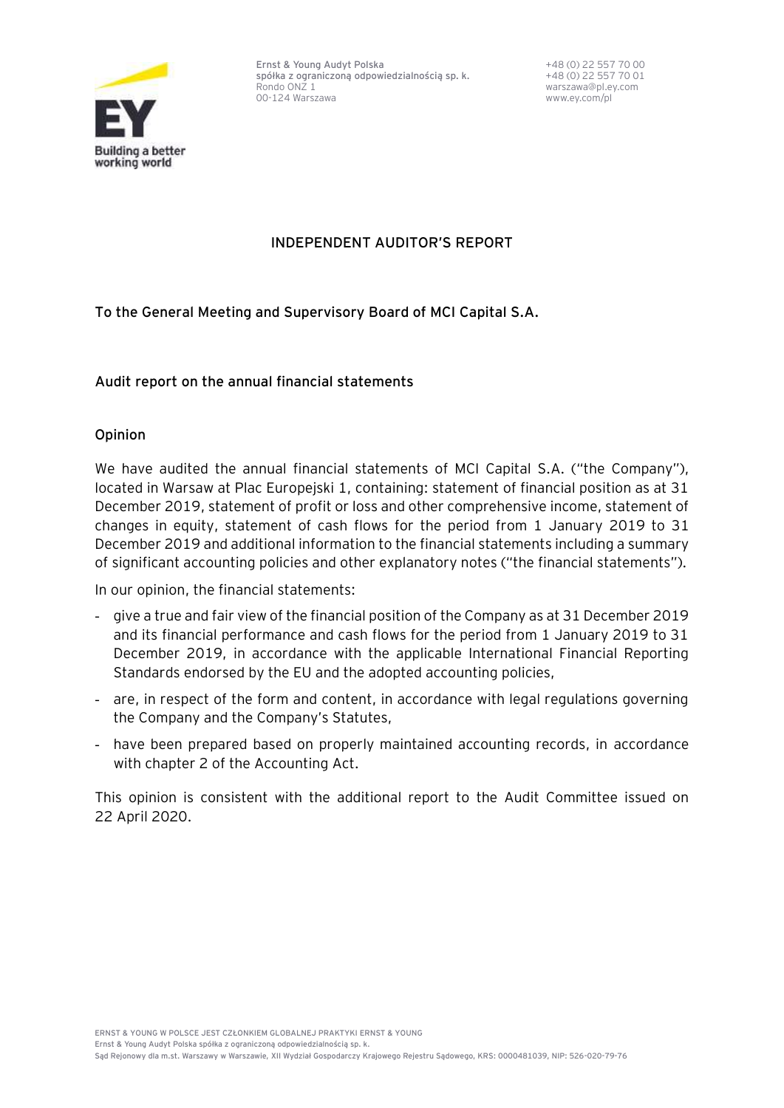

**Ernst & Young Audyt Polska spółka z ograniczoną odpowiedzialnością sp. k.** Rondo ONZ 1 00-124 Warszawa

+48 (0) 22 557 70 00 +48 (0) 22 557 70 01 warszawa@pl.ey.com www.ey.com/pl

## **INDEPENDENT AUDITOR'S REPORT**

**To the General Meeting and Supervisory Board of MCI Capital S.A.**

### **Audit report on the annual financial statements**

### **Opinion**

We have audited the annual financial statements of MCI Capital S.A. ("the Company"), located in Warsaw at Plac Europejski 1, containing: statement of financial position as at 31 December 2019, statement of profit or loss and other comprehensive income, statement of changes in equity, statement of cash flows for the period from 1 January 2019 to 31 December 2019 and additional information to the financial statements including a summary of significant accounting policies and other explanatory notes ("the financial statements").

In our opinion, the financial statements:

- give a true and fair view of the financial position of the Company as at 31 December 2019 and its financial performance and cash flows for the period from 1 January 2019 to 31 December 2019, in accordance with the applicable International Financial Reporting Standards endorsed by the EU and the adopted accounting policies,
- are, in respect of the form and content, in accordance with legal regulations governing the Company and the Company's Statutes,
- have been prepared based on properly maintained accounting records, in accordance with chapter 2 of the Accounting Act.

This opinion is consistent with the additional report to the Audit Committee issued on 22 April 2020.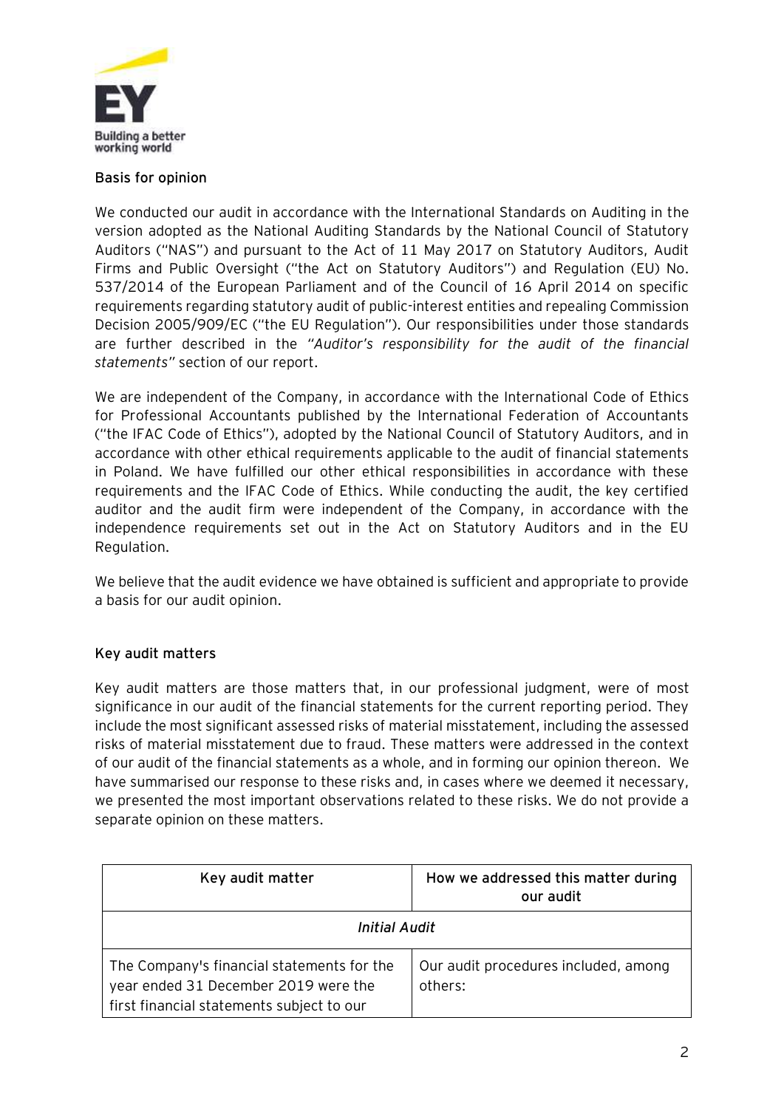

#### **Basis for opinion**

We conducted our audit in accordance with the International Standards on Auditing in the version adopted as the National Auditing Standards by the National Council of Statutory Auditors ("NAS") and pursuant to the Act of 11 May 2017 on Statutory Auditors, Audit Firms and Public Oversight ("the Act on Statutory Auditors") and Regulation (EU) No. 537/2014 of the European Parliament and of the Council of 16 April 2014 on specific requirements regarding statutory audit of public-interest entities and repealing Commission Decision 2005/909/EC ("the EU Regulation"). Our responsibilities under those standards are further described in the *"Auditor's responsibility for the audit of the financial statements"* section of our report.

We are independent of the Company, in accordance with the International Code of Ethics for Professional Accountants published by the International Federation of Accountants ("the IFAC Code of Ethics"), adopted by the National Council of Statutory Auditors, and in accordance with other ethical requirements applicable to the audit of financial statements in Poland. We have fulfilled our other ethical responsibilities in accordance with these requirements and the IFAC Code of Ethics. While conducting the audit, the key certified auditor and the audit firm were independent of the Company, in accordance with the independence requirements set out in the Act on Statutory Auditors and in the EU Regulation.

We believe that the audit evidence we have obtained is sufficient and appropriate to provide a basis for our audit opinion.

## **Key audit matters**

Key audit matters are those matters that, in our professional judgment, were of most significance in our audit of the financial statements for the current reporting period. They include the most significant assessed risks of material misstatement, including the assessed risks of material misstatement due to fraud. These matters were addressed in the context of our audit of the financial statements as a whole, and in forming our opinion thereon. We have summarised our response to these risks and, in cases where we deemed it necessary, we presented the most important observations related to these risks. We do not provide a separate opinion on these matters.

| Key audit matter                                                                                                                | How we addressed this matter during<br>our audit |  |
|---------------------------------------------------------------------------------------------------------------------------------|--------------------------------------------------|--|
| Initial Audit                                                                                                                   |                                                  |  |
| The Company's financial statements for the<br>year ended 31 December 2019 were the<br>first financial statements subject to our | Our audit procedures included, among<br>others:  |  |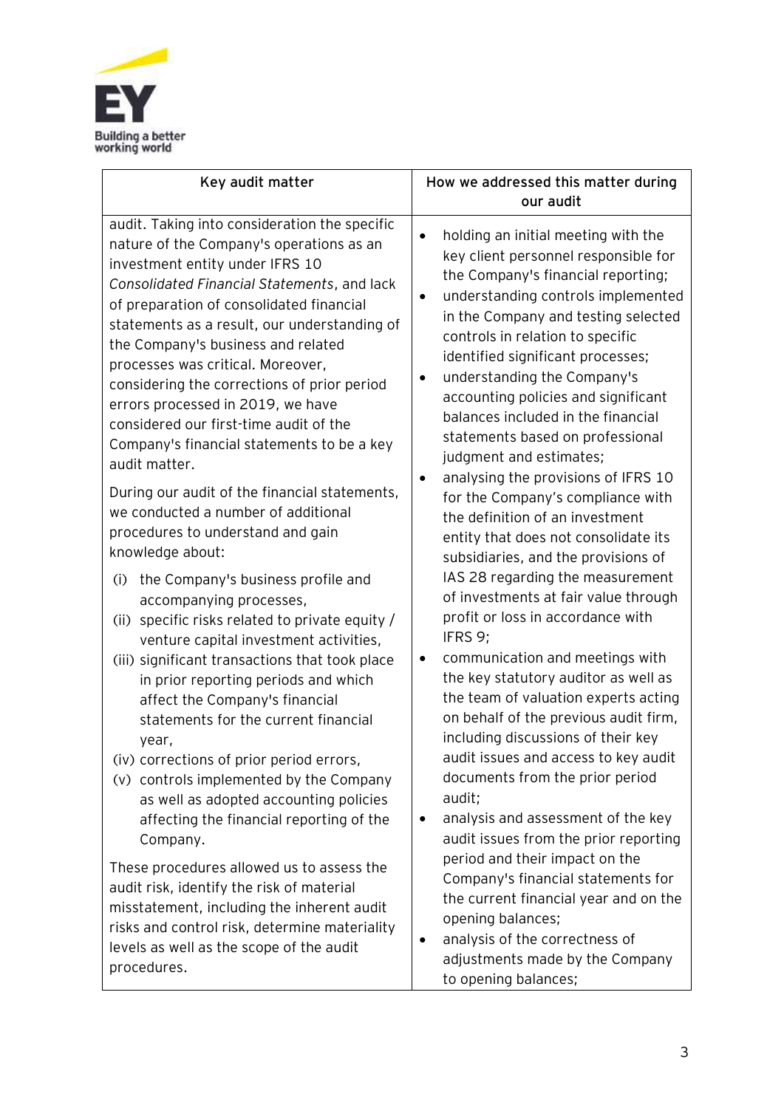

| Key audit matter                                                                                                                                                                                                                                                                                                                                                                                                                                                                                                                                                                                                                                                                                                                                                                                                                                                                                                                                                                                                                                                                                                                                                                                                                                                                         | How we addressed this matter during<br>our audit                                                                                                                                                                                                                                                                                                                                                                                                                                                                                                                                                                                                                                                                                                                                                                                                                                                                                                                                                                                                                                                                                                                                                                                                          |
|------------------------------------------------------------------------------------------------------------------------------------------------------------------------------------------------------------------------------------------------------------------------------------------------------------------------------------------------------------------------------------------------------------------------------------------------------------------------------------------------------------------------------------------------------------------------------------------------------------------------------------------------------------------------------------------------------------------------------------------------------------------------------------------------------------------------------------------------------------------------------------------------------------------------------------------------------------------------------------------------------------------------------------------------------------------------------------------------------------------------------------------------------------------------------------------------------------------------------------------------------------------------------------------|-----------------------------------------------------------------------------------------------------------------------------------------------------------------------------------------------------------------------------------------------------------------------------------------------------------------------------------------------------------------------------------------------------------------------------------------------------------------------------------------------------------------------------------------------------------------------------------------------------------------------------------------------------------------------------------------------------------------------------------------------------------------------------------------------------------------------------------------------------------------------------------------------------------------------------------------------------------------------------------------------------------------------------------------------------------------------------------------------------------------------------------------------------------------------------------------------------------------------------------------------------------|
| audit. Taking into consideration the specific<br>nature of the Company's operations as an<br>investment entity under IFRS 10<br>Consolidated Financial Statements, and lack<br>of preparation of consolidated financial<br>statements as a result, our understanding of<br>the Company's business and related<br>processes was critical. Moreover,<br>considering the corrections of prior period<br>errors processed in 2019, we have<br>considered our first-time audit of the<br>Company's financial statements to be a key<br>audit matter.<br>During our audit of the financial statements,<br>we conducted a number of additional<br>procedures to understand and gain<br>knowledge about:<br>(i)<br>the Company's business profile and<br>accompanying processes,<br>(ii) specific risks related to private equity /<br>venture capital investment activities,<br>(iii) significant transactions that took place<br>in prior reporting periods and which<br>affect the Company's financial<br>statements for the current financial<br>year,<br>(iv) corrections of prior period errors,<br>(v) controls implemented by the Company<br>as well as adopted accounting policies<br>affecting the financial reporting of the<br>Company.<br>These procedures allowed us to assess the | holding an initial meeting with the<br>key client personnel responsible for<br>the Company's financial reporting;<br>understanding controls implemented<br>$\bullet$<br>in the Company and testing selected<br>controls in relation to specific<br>identified significant processes;<br>understanding the Company's<br>accounting policies and significant<br>balances included in the financial<br>statements based on professional<br>judgment and estimates;<br>analysing the provisions of IFRS 10<br>$\bullet$<br>for the Company's compliance with<br>the definition of an investment<br>entity that does not consolidate its<br>subsidiaries, and the provisions of<br>IAS 28 regarding the measurement<br>of investments at fair value through<br>profit or loss in accordance with<br>IFRS 9;<br>communication and meetings with<br>the key statutory auditor as well as<br>the team of valuation experts acting<br>on behalf of the previous audit firm,<br>including discussions of their key<br>audit issues and access to key audit<br>documents from the prior period<br>audit;<br>analysis and assessment of the key<br>٠<br>audit issues from the prior reporting<br>period and their impact on the<br>Company's financial statements for |
| audit risk, identify the risk of material<br>misstatement, including the inherent audit<br>risks and control risk, determine materiality<br>levels as well as the scope of the audit<br>procedures.                                                                                                                                                                                                                                                                                                                                                                                                                                                                                                                                                                                                                                                                                                                                                                                                                                                                                                                                                                                                                                                                                      | the current financial year and on the<br>opening balances;<br>analysis of the correctness of<br>adjustments made by the Company<br>to opening balances;                                                                                                                                                                                                                                                                                                                                                                                                                                                                                                                                                                                                                                                                                                                                                                                                                                                                                                                                                                                                                                                                                                   |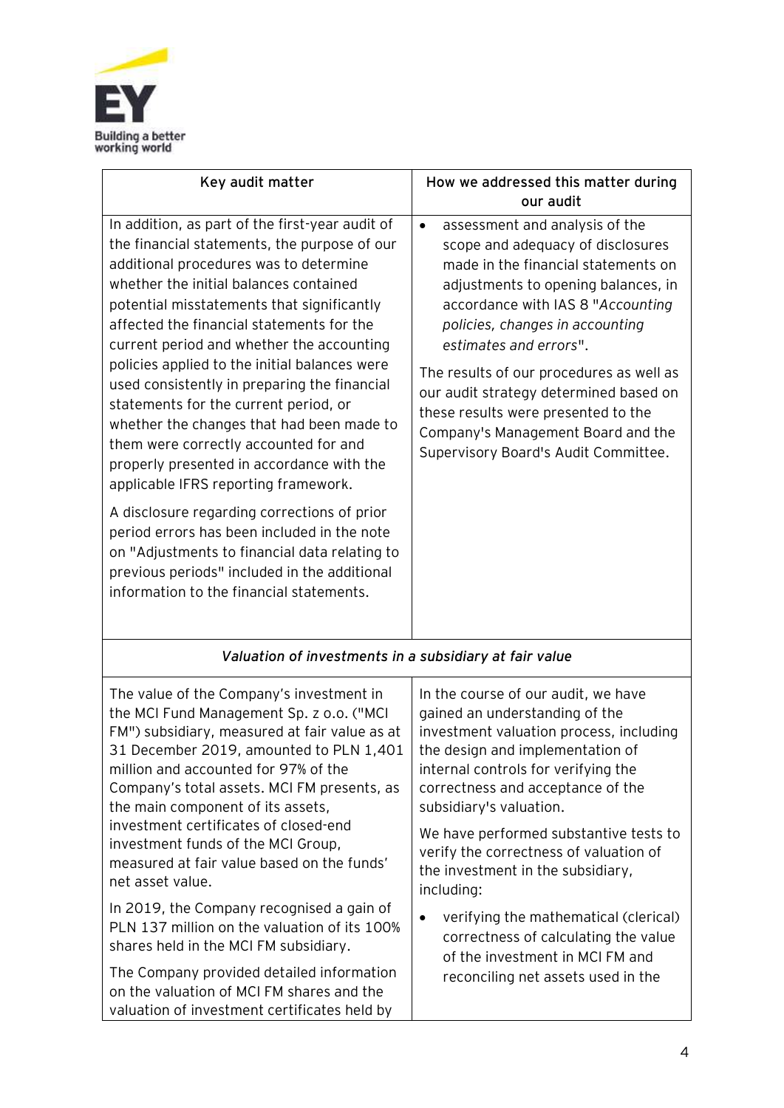

| Key audit matter                                                                                                                                                                                                                                                                                                                                                                                                                                                                                                                                                                                                                                                                                                                                                                                                                                                                            | How we addressed this matter during<br>our audit                                                                                                                                                                                                                                                                                                                                                                                                                            |
|---------------------------------------------------------------------------------------------------------------------------------------------------------------------------------------------------------------------------------------------------------------------------------------------------------------------------------------------------------------------------------------------------------------------------------------------------------------------------------------------------------------------------------------------------------------------------------------------------------------------------------------------------------------------------------------------------------------------------------------------------------------------------------------------------------------------------------------------------------------------------------------------|-----------------------------------------------------------------------------------------------------------------------------------------------------------------------------------------------------------------------------------------------------------------------------------------------------------------------------------------------------------------------------------------------------------------------------------------------------------------------------|
| In addition, as part of the first-year audit of<br>the financial statements, the purpose of our<br>additional procedures was to determine<br>whether the initial balances contained<br>potential misstatements that significantly<br>affected the financial statements for the<br>current period and whether the accounting<br>policies applied to the initial balances were<br>used consistently in preparing the financial<br>statements for the current period, or<br>whether the changes that had been made to<br>them were correctly accounted for and<br>properly presented in accordance with the<br>applicable IFRS reporting framework.<br>A disclosure regarding corrections of prior<br>period errors has been included in the note<br>on "Adjustments to financial data relating to<br>previous periods" included in the additional<br>information to the financial statements. | assessment and analysis of the<br>$\bullet$<br>scope and adequacy of disclosures<br>made in the financial statements on<br>adjustments to opening balances, in<br>accordance with IAS 8 "Accounting<br>policies, changes in accounting<br>estimates and errors".<br>The results of our procedures as well as<br>our audit strategy determined based on<br>these results were presented to the<br>Company's Management Board and the<br>Supervisory Board's Audit Committee. |
| Valuation of investments in a subsidiary at fair value                                                                                                                                                                                                                                                                                                                                                                                                                                                                                                                                                                                                                                                                                                                                                                                                                                      |                                                                                                                                                                                                                                                                                                                                                                                                                                                                             |
| The value of the Company's investment in                                                                                                                                                                                                                                                                                                                                                                                                                                                                                                                                                                                                                                                                                                                                                                                                                                                    | In the course of our audit, we have                                                                                                                                                                                                                                                                                                                                                                                                                                         |
| the MCI Fund Management Sp. z o.o. ("MCI                                                                                                                                                                                                                                                                                                                                                                                                                                                                                                                                                                                                                                                                                                                                                                                                                                                    | gained an understanding of the                                                                                                                                                                                                                                                                                                                                                                                                                                              |
| FM") subsidiary, measured at fair value as at                                                                                                                                                                                                                                                                                                                                                                                                                                                                                                                                                                                                                                                                                                                                                                                                                                               | investment valuation process, including                                                                                                                                                                                                                                                                                                                                                                                                                                     |
| 31 December 2019, amounted to PLN 1,401                                                                                                                                                                                                                                                                                                                                                                                                                                                                                                                                                                                                                                                                                                                                                                                                                                                     | the design and implementation of                                                                                                                                                                                                                                                                                                                                                                                                                                            |
| million and accounted for 97% of the                                                                                                                                                                                                                                                                                                                                                                                                                                                                                                                                                                                                                                                                                                                                                                                                                                                        | internal controls for verifying the                                                                                                                                                                                                                                                                                                                                                                                                                                         |
| Company's total assets. MCI FM presents, as                                                                                                                                                                                                                                                                                                                                                                                                                                                                                                                                                                                                                                                                                                                                                                                                                                                 | correctness and acceptance of the                                                                                                                                                                                                                                                                                                                                                                                                                                           |
| the main component of its assets,                                                                                                                                                                                                                                                                                                                                                                                                                                                                                                                                                                                                                                                                                                                                                                                                                                                           | subsidiary's valuation.                                                                                                                                                                                                                                                                                                                                                                                                                                                     |
| investment certificates of closed-end                                                                                                                                                                                                                                                                                                                                                                                                                                                                                                                                                                                                                                                                                                                                                                                                                                                       | We have performed substantive tests to                                                                                                                                                                                                                                                                                                                                                                                                                                      |
| investment funds of the MCI Group,                                                                                                                                                                                                                                                                                                                                                                                                                                                                                                                                                                                                                                                                                                                                                                                                                                                          | verify the correctness of valuation of                                                                                                                                                                                                                                                                                                                                                                                                                                      |
| measured at fair value based on the funds'                                                                                                                                                                                                                                                                                                                                                                                                                                                                                                                                                                                                                                                                                                                                                                                                                                                  | the investment in the subsidiary,                                                                                                                                                                                                                                                                                                                                                                                                                                           |
| net asset value.                                                                                                                                                                                                                                                                                                                                                                                                                                                                                                                                                                                                                                                                                                                                                                                                                                                                            | including:                                                                                                                                                                                                                                                                                                                                                                                                                                                                  |
| In 2019, the Company recognised a gain of                                                                                                                                                                                                                                                                                                                                                                                                                                                                                                                                                                                                                                                                                                                                                                                                                                                   | verifying the mathematical (clerical)                                                                                                                                                                                                                                                                                                                                                                                                                                       |
| PLN 137 million on the valuation of its 100%                                                                                                                                                                                                                                                                                                                                                                                                                                                                                                                                                                                                                                                                                                                                                                                                                                                | $\bullet$                                                                                                                                                                                                                                                                                                                                                                                                                                                                   |
| shares held in the MCI FM subsidiary.                                                                                                                                                                                                                                                                                                                                                                                                                                                                                                                                                                                                                                                                                                                                                                                                                                                       | correctness of calculating the value                                                                                                                                                                                                                                                                                                                                                                                                                                        |
| The Company provided detailed information                                                                                                                                                                                                                                                                                                                                                                                                                                                                                                                                                                                                                                                                                                                                                                                                                                                   | of the investment in MCI FM and                                                                                                                                                                                                                                                                                                                                                                                                                                             |
| on the valuation of MCI FM shares and the                                                                                                                                                                                                                                                                                                                                                                                                                                                                                                                                                                                                                                                                                                                                                                                                                                                   | reconciling net assets used in the                                                                                                                                                                                                                                                                                                                                                                                                                                          |

valuation of investment certificates held by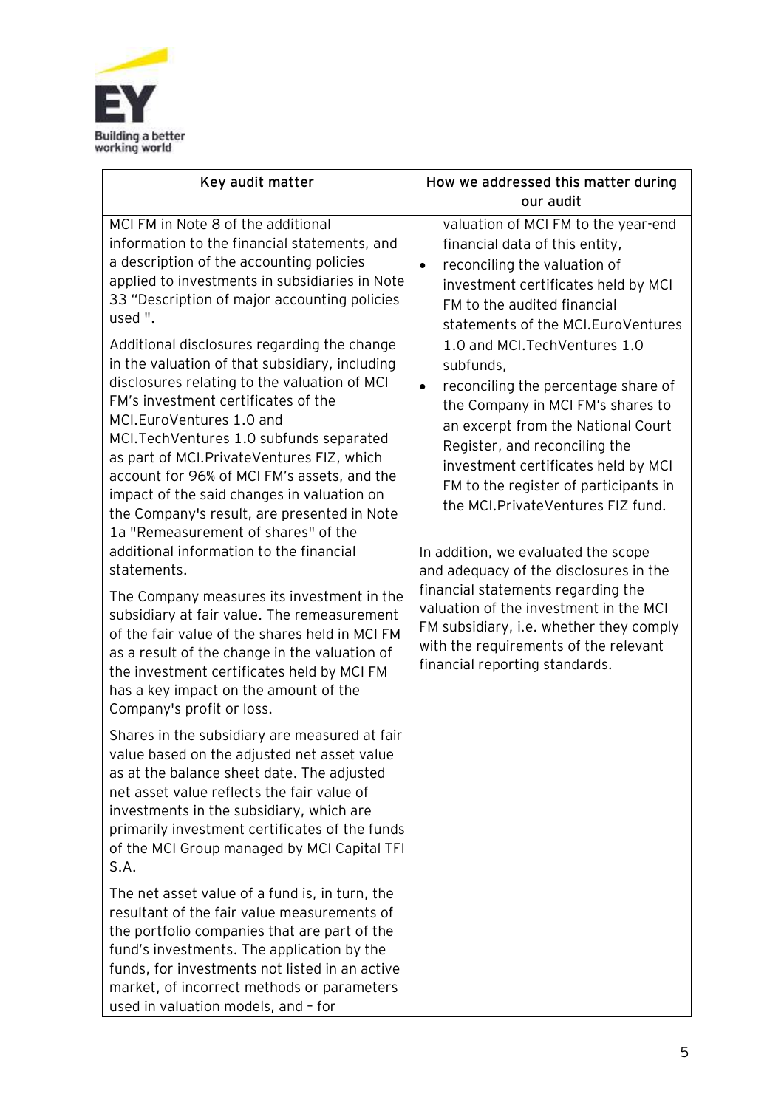

| Key audit matter                                                                                                                                                                                                                                                                                                                                                                                                                                                                                                                                                                                                                                                                                                                                                                                                                                                                                                                                                                                                                                                                                | How we addressed this matter during<br>our audit                                                                                                                                                                                                                                                                                                                                                                                                                                                                                                                                                                                                                                                                                                                                                                                                              |
|-------------------------------------------------------------------------------------------------------------------------------------------------------------------------------------------------------------------------------------------------------------------------------------------------------------------------------------------------------------------------------------------------------------------------------------------------------------------------------------------------------------------------------------------------------------------------------------------------------------------------------------------------------------------------------------------------------------------------------------------------------------------------------------------------------------------------------------------------------------------------------------------------------------------------------------------------------------------------------------------------------------------------------------------------------------------------------------------------|---------------------------------------------------------------------------------------------------------------------------------------------------------------------------------------------------------------------------------------------------------------------------------------------------------------------------------------------------------------------------------------------------------------------------------------------------------------------------------------------------------------------------------------------------------------------------------------------------------------------------------------------------------------------------------------------------------------------------------------------------------------------------------------------------------------------------------------------------------------|
| MCI FM in Note 8 of the additional<br>information to the financial statements, and<br>a description of the accounting policies<br>applied to investments in subsidiaries in Note<br>33 "Description of major accounting policies<br>used ".<br>Additional disclosures regarding the change<br>in the valuation of that subsidiary, including<br>disclosures relating to the valuation of MCI<br>FM's investment certificates of the<br>MCI.EuroVentures 1.0 and<br>MCI. Tech Ventures 1.0 subfunds separated<br>as part of MCI. Private Ventures FIZ, which<br>account for 96% of MCI FM's assets, and the<br>impact of the said changes in valuation on<br>the Company's result, are presented in Note<br>1a "Remeasurement of shares" of the<br>additional information to the financial<br>statements.<br>The Company measures its investment in the<br>subsidiary at fair value. The remeasurement<br>of the fair value of the shares held in MCI FM<br>as a result of the change in the valuation of<br>the investment certificates held by MCI FM<br>has a key impact on the amount of the | valuation of MCI FM to the year-end<br>financial data of this entity,<br>reconciling the valuation of<br>$\bullet$<br>investment certificates held by MCI<br>FM to the audited financial<br>statements of the MCI. Euro Ventures<br>1.0 and MCI. Tech Ventures 1.0<br>subfunds,<br>reconciling the percentage share of<br>$\bullet$<br>the Company in MCI FM's shares to<br>an excerpt from the National Court<br>Register, and reconciling the<br>investment certificates held by MCI<br>FM to the register of participants in<br>the MCI. Private Ventures FIZ fund.<br>In addition, we evaluated the scope<br>and adequacy of the disclosures in the<br>financial statements regarding the<br>valuation of the investment in the MCI<br>FM subsidiary, i.e. whether they comply<br>with the requirements of the relevant<br>financial reporting standards. |
| Company's profit or loss.<br>Shares in the subsidiary are measured at fair<br>value based on the adjusted net asset value<br>as at the balance sheet date. The adjusted<br>net asset value reflects the fair value of<br>investments in the subsidiary, which are<br>primarily investment certificates of the funds<br>of the MCI Group managed by MCI Capital TFI<br>S.A.<br>The net asset value of a fund is, in turn, the<br>resultant of the fair value measurements of<br>the portfolio companies that are part of the<br>fund's investments. The application by the<br>funds, for investments not listed in an active<br>market, of incorrect methods or parameters<br>used in valuation models, and - for                                                                                                                                                                                                                                                                                                                                                                                |                                                                                                                                                                                                                                                                                                                                                                                                                                                                                                                                                                                                                                                                                                                                                                                                                                                               |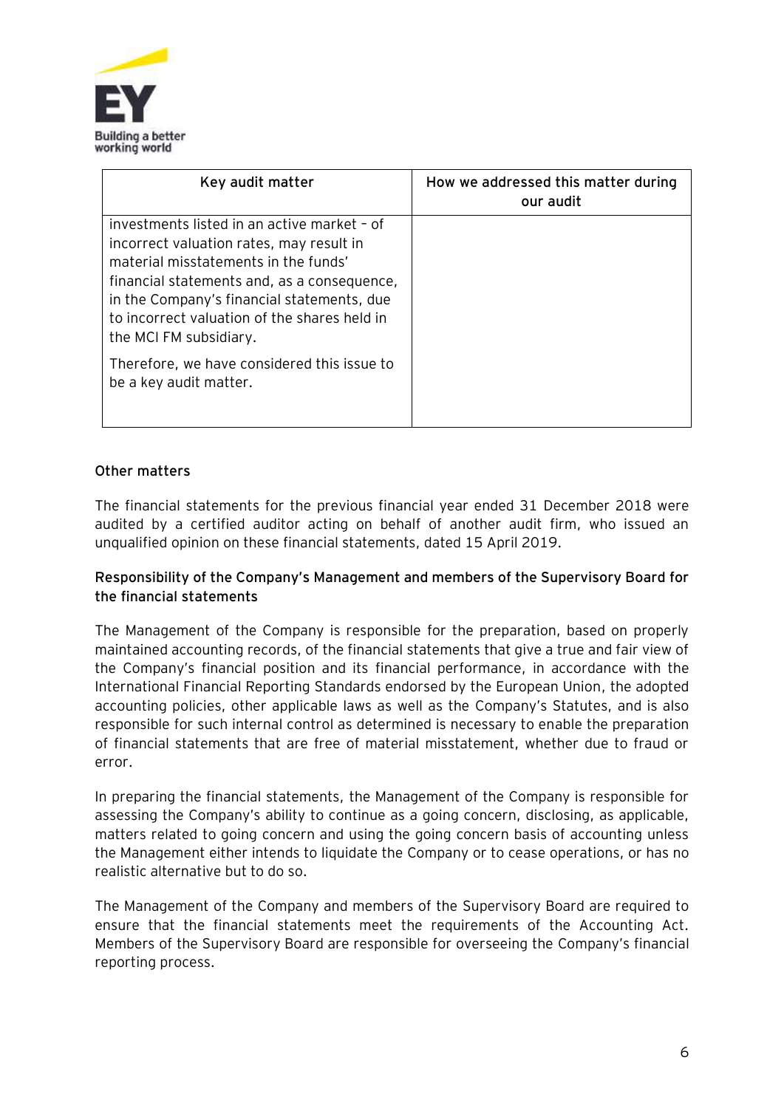

| Key audit matter                                                                                                                                                                                                                                                                                       | How we addressed this matter during<br>our audit |
|--------------------------------------------------------------------------------------------------------------------------------------------------------------------------------------------------------------------------------------------------------------------------------------------------------|--------------------------------------------------|
| investments listed in an active market - of<br>incorrect valuation rates, may result in<br>material misstatements in the funds'<br>financial statements and, as a consequence,<br>in the Company's financial statements, due<br>to incorrect valuation of the shares held in<br>the MCI FM subsidiary. |                                                  |
| Therefore, we have considered this issue to<br>be a key audit matter.                                                                                                                                                                                                                                  |                                                  |

# **Other matters**

The financial statements for the previous financial year ended 31 December 2018 were audited by a certified auditor acting on behalf of another audit firm, who issued an unqualified opinion on these financial statements, dated 15 April 2019.

### **Responsibility of the Company's Management and members of the Supervisory Board for the financial statements**

The Management of the Company is responsible for the preparation, based on properly maintained accounting records, of the financial statements that give a true and fair view of the Company's financial position and its financial performance, in accordance with the International Financial Reporting Standards endorsed by the European Union, the adopted accounting policies, other applicable laws as well as the Company's Statutes, and is also responsible for such internal control as determined is necessary to enable the preparation of financial statements that are free of material misstatement, whether due to fraud or error.

In preparing the financial statements, the Management of the Company is responsible for assessing the Company's ability to continue as a going concern, disclosing, as applicable, matters related to going concern and using the going concern basis of accounting unless the Management either intends to liquidate the Company or to cease operations, or has no realistic alternative but to do so.

The Management of the Company and members of the Supervisory Board are required to ensure that the financial statements meet the requirements of the Accounting Act. Members of the Supervisory Board are responsible for overseeing the Company's financial reporting process.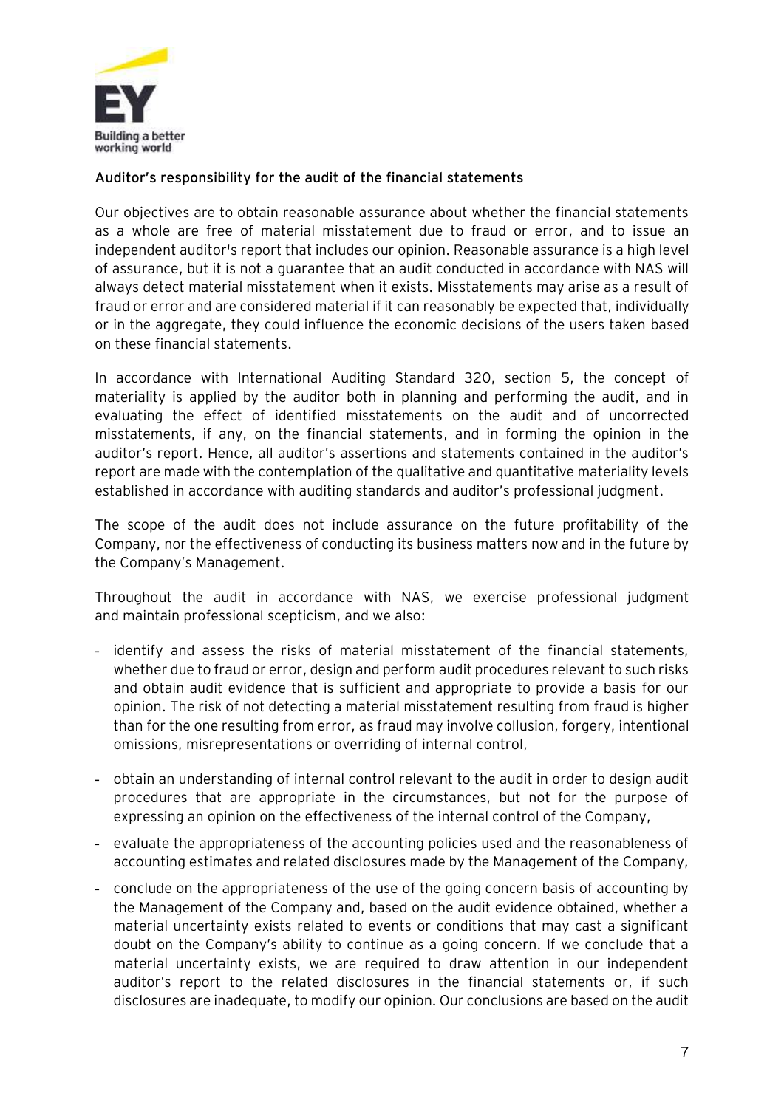

## **Auditor's responsibility for the audit of the financial statements**

Our objectives are to obtain reasonable assurance about whether the financial statements as a whole are free of material misstatement due to fraud or error, and to issue an independent auditor's report that includes our opinion. Reasonable assurance is a high level of assurance, but it is not a guarantee that an audit conducted in accordance with NAS will always detect material misstatement when it exists. Misstatements may arise as a result of fraud or error and are considered material if it can reasonably be expected that, individually or in the aggregate, they could influence the economic decisions of the users taken based on these financial statements.

In accordance with International Auditing Standard 320, section 5, the concept of materiality is applied by the auditor both in planning and performing the audit, and in evaluating the effect of identified misstatements on the audit and of uncorrected misstatements, if any, on the financial statements, and in forming the opinion in the auditor's report. Hence, all auditor's assertions and statements contained in the auditor's report are made with the contemplation of the qualitative and quantitative materiality levels established in accordance with auditing standards and auditor's professional judgment.

The scope of the audit does not include assurance on the future profitability of the Company, nor the effectiveness of conducting its business matters now and in the future by the Company's Management.

Throughout the audit in accordance with NAS, we exercise professional judgment and maintain professional scepticism, and we also:

- identify and assess the risks of material misstatement of the financial statements, whether due to fraud or error, design and perform audit procedures relevant to such risks and obtain audit evidence that is sufficient and appropriate to provide a basis for our opinion. The risk of not detecting a material misstatement resulting from fraud is higher than for the one resulting from error, as fraud may involve collusion, forgery, intentional omissions, misrepresentations or overriding of internal control,
- obtain an understanding of internal control relevant to the audit in order to design audit procedures that are appropriate in the circumstances, but not for the purpose of expressing an opinion on the effectiveness of the internal control of the Company,
- evaluate the appropriateness of the accounting policies used and the reasonableness of accounting estimates and related disclosures made by the Management of the Company,
- conclude on the appropriateness of the use of the going concern basis of accounting by the Management of the Company and, based on the audit evidence obtained, whether a material uncertainty exists related to events or conditions that may cast a significant doubt on the Company's ability to continue as a going concern. If we conclude that a material uncertainty exists, we are required to draw attention in our independent auditor's report to the related disclosures in the financial statements or, if such disclosures are inadequate, to modify our opinion. Our conclusions are based on the audit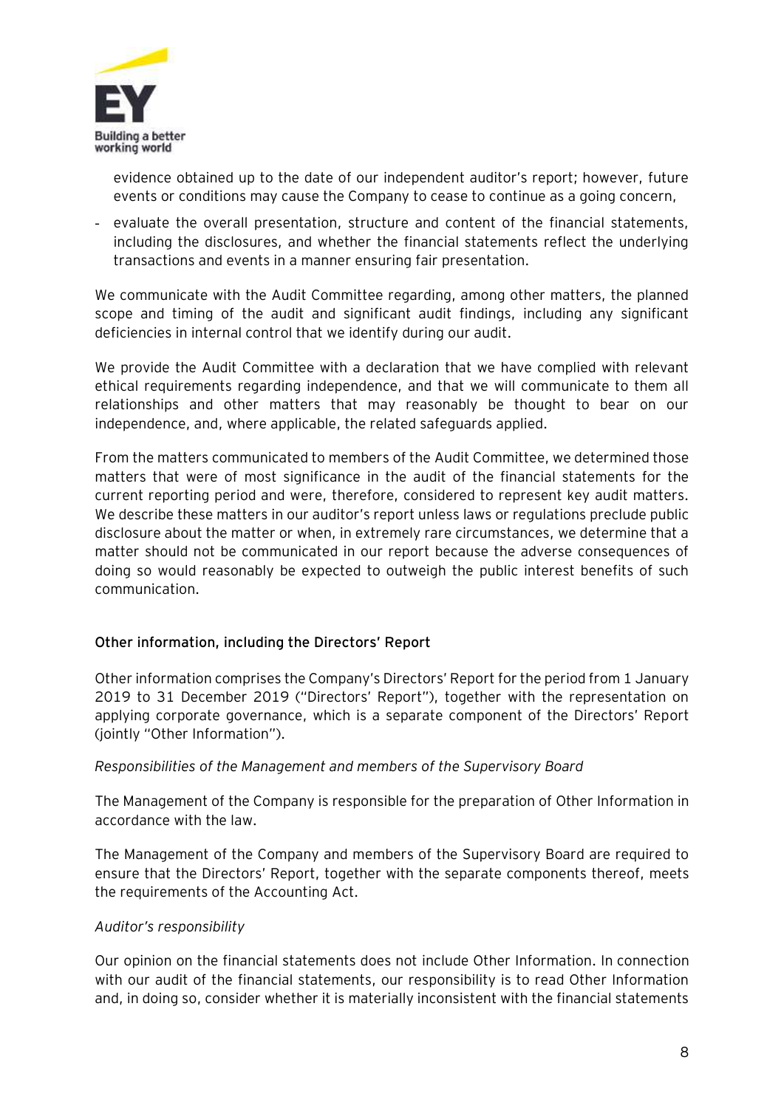

evidence obtained up to the date of our independent auditor's report; however, future events or conditions may cause the Company to cease to continue as a going concern,

- evaluate the overall presentation, structure and content of the financial statements, including the disclosures, and whether the financial statements reflect the underlying transactions and events in a manner ensuring fair presentation.

We communicate with the Audit Committee regarding, among other matters, the planned scope and timing of the audit and significant audit findings, including any significant deficiencies in internal control that we identify during our audit.

We provide the Audit Committee with a declaration that we have complied with relevant ethical requirements regarding independence, and that we will communicate to them all relationships and other matters that may reasonably be thought to bear on our independence, and, where applicable, the related safeguards applied.

From the matters communicated to members of the Audit Committee, we determined those matters that were of most significance in the audit of the financial statements for the current reporting period and were, therefore, considered to represent key audit matters. We describe these matters in our auditor's report unless laws or regulations preclude public disclosure about the matter or when, in extremely rare circumstances, we determine that a matter should not be communicated in our report because the adverse consequences of doing so would reasonably be expected to outweigh the public interest benefits of such communication.

## **Other information, including the Directors' Report**

Other information comprises the Company's Directors' Report for the period from 1 January 2019 to 31 December 2019 ("Directors' Report"), together with the representation on applying corporate governance, which is a separate component of the Directors' Report (jointly "Other Information").

#### *Responsibilities of the Management and members of the Supervisory Board*

The Management of the Company is responsible for the preparation of Other Information in accordance with the law.

The Management of the Company and members of the Supervisory Board are required to ensure that the Directors' Report, together with the separate components thereof, meets the requirements of the Accounting Act.

#### *Auditor's responsibility*

Our opinion on the financial statements does not include Other Information. In connection with our audit of the financial statements, our responsibility is to read Other Information and, in doing so, consider whether it is materially inconsistent with the financial statements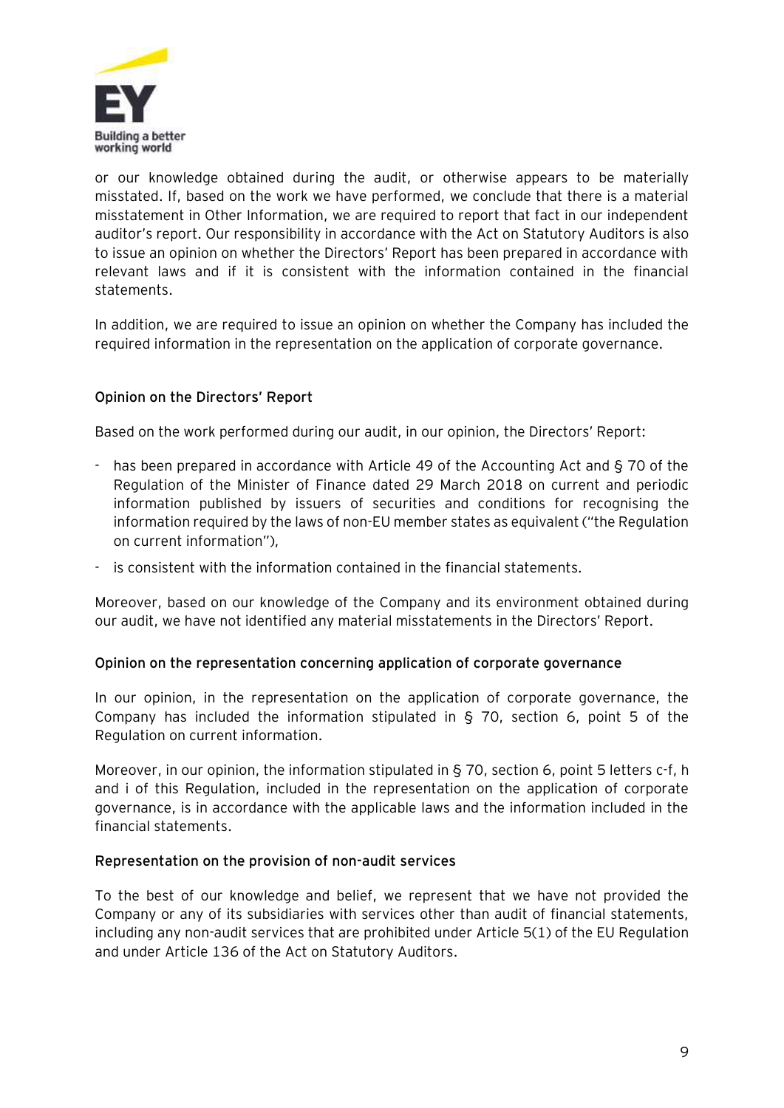

or our knowledge obtained during the audit, or otherwise appears to be materially misstated. If, based on the work we have performed, we conclude that there is a material misstatement in Other Information, we are required to report that fact in our independent auditor's report. Our responsibility in accordance with the Act on Statutory Auditors is also to issue an opinion on whether the Directors' Report has been prepared in accordance with relevant laws and if it is consistent with the information contained in the financial statements.

In addition, we are required to issue an opinion on whether the Company has included the required information in the representation on the application of corporate governance.

## **Opinion on the Directors' Report**

Based on the work performed during our audit, in our opinion, the Directors' Report:

- has been prepared in accordance with Article 49 of the Accounting Act and § 70 of the Regulation of the Minister of Finance dated 29 March 2018 on current and periodic information published by issuers of securities and conditions for recognising the information required by the laws of non-EU member states as equivalent ("the Regulation on current information"),
- is consistent with the information contained in the financial statements.

Moreover, based on our knowledge of the Company and its environment obtained during our audit, we have not identified any material misstatements in the Directors' Report.

#### **Opinion on the representation concerning application of corporate governance**

In our opinion, in the representation on the application of corporate governance, the Company has included the information stipulated in § 70, section 6, point 5 of the Regulation on current information.

Moreover, in our opinion, the information stipulated in § 70, section 6, point 5 letters c-f, h and i of this Regulation, included in the representation on the application of corporate governance, is in accordance with the applicable laws and the information included in the financial statements.

#### **Representation on the provision of non-audit services**

To the best of our knowledge and belief, we represent that we have not provided the Company or any of its subsidiaries with services other than audit of financial statements, including any non-audit services that are prohibited under Article 5(1) of the EU Regulation and under Article 136 of the Act on Statutory Auditors.